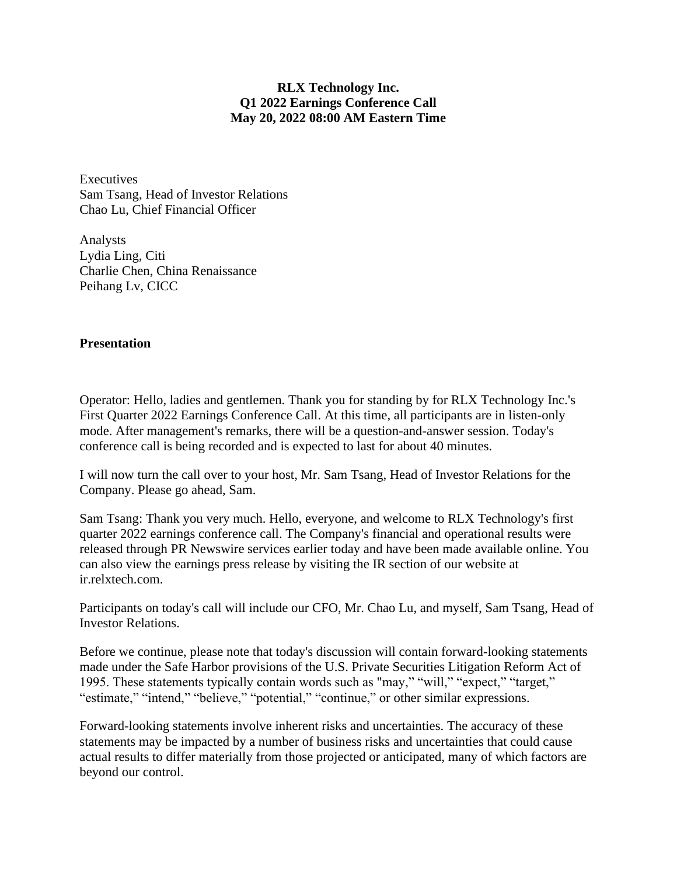## **RLX Technology Inc. Q1 2022 Earnings Conference Call May 20, 2022 08:00 AM Eastern Time**

**Executives** Sam Tsang, Head of Investor Relations Chao Lu, Chief Financial Officer

Analysts Lydia Ling, Citi Charlie Chen, China Renaissance Peihang Lv, CICC

## **Presentation**

Operator: Hello, ladies and gentlemen. Thank you for standing by for RLX Technology Inc.'s First Quarter 2022 Earnings Conference Call. At this time, all participants are in listen-only mode. After management's remarks, there will be a question-and-answer session. Today's conference call is being recorded and is expected to last for about 40 minutes.

I will now turn the call over to your host, Mr. Sam Tsang, Head of Investor Relations for the Company. Please go ahead, Sam.

Sam Tsang: Thank you very much. Hello, everyone, and welcome to RLX Technology's first quarter 2022 earnings conference call. The Company's financial and operational results were released through PR Newswire services earlier today and have been made available online. You can also view the earnings press release by visiting the IR section of our website at ir.relxtech.com.

Participants on today's call will include our CFO, Mr. Chao Lu, and myself, Sam Tsang, Head of Investor Relations.

Before we continue, please note that today's discussion will contain forward-looking statements made under the Safe Harbor provisions of the U.S. Private Securities Litigation Reform Act of 1995. These statements typically contain words such as "may," "will," "expect," "target," "estimate," "intend," "believe," "potential," "continue," or other similar expressions.

Forward-looking statements involve inherent risks and uncertainties. The accuracy of these statements may be impacted by a number of business risks and uncertainties that could cause actual results to differ materially from those projected or anticipated, many of which factors are beyond our control.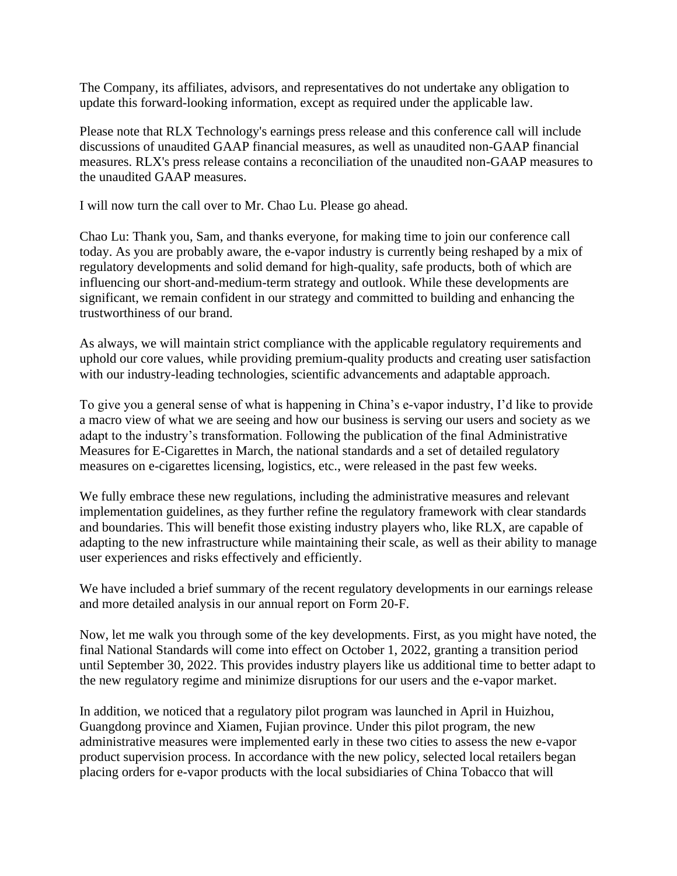The Company, its affiliates, advisors, and representatives do not undertake any obligation to update this forward-looking information, except as required under the applicable law.

Please note that RLX Technology's earnings press release and this conference call will include discussions of unaudited GAAP financial measures, as well as unaudited non-GAAP financial measures. RLX's press release contains a reconciliation of the unaudited non-GAAP measures to the unaudited GAAP measures.

I will now turn the call over to Mr. Chao Lu. Please go ahead.

Chao Lu: Thank you, Sam, and thanks everyone, for making time to join our conference call today. As you are probably aware, the e-vapor industry is currently being reshaped by a mix of regulatory developments and solid demand for high-quality, safe products, both of which are influencing our short-and-medium-term strategy and outlook. While these developments are significant, we remain confident in our strategy and committed to building and enhancing the trustworthiness of our brand.

As always, we will maintain strict compliance with the applicable regulatory requirements and uphold our core values, while providing premium-quality products and creating user satisfaction with our industry-leading technologies, scientific advancements and adaptable approach.

To give you a general sense of what is happening in China's e-vapor industry, I'd like to provide a macro view of what we are seeing and how our business is serving our users and society as we adapt to the industry's transformation. Following the publication of the final Administrative Measures for E-Cigarettes in March, the national standards and a set of detailed regulatory measures on e-cigarettes licensing, logistics, etc., were released in the past few weeks.

We fully embrace these new regulations, including the administrative measures and relevant implementation guidelines, as they further refine the regulatory framework with clear standards and boundaries. This will benefit those existing industry players who, like RLX, are capable of adapting to the new infrastructure while maintaining their scale, as well as their ability to manage user experiences and risks effectively and efficiently.

We have included a brief summary of the recent regulatory developments in our earnings release and more detailed analysis in our annual report on Form 20-F.

Now, let me walk you through some of the key developments. First, as you might have noted, the final National Standards will come into effect on October 1, 2022, granting a transition period until September 30, 2022. This provides industry players like us additional time to better adapt to the new regulatory regime and minimize disruptions for our users and the e-vapor market.

In addition, we noticed that a regulatory pilot program was launched in April in Huizhou, Guangdong province and Xiamen, Fujian province. Under this pilot program, the new administrative measures were implemented early in these two cities to assess the new e-vapor product supervision process. In accordance with the new policy, selected local retailers began placing orders for e-vapor products with the local subsidiaries of China Tobacco that will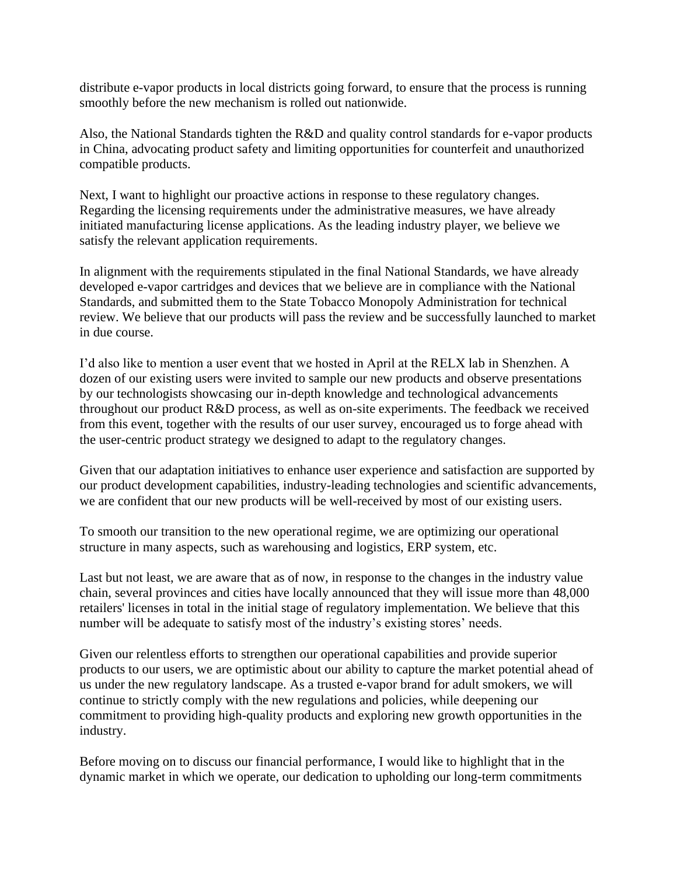distribute e-vapor products in local districts going forward, to ensure that the process is running smoothly before the new mechanism is rolled out nationwide.

Also, the National Standards tighten the R&D and quality control standards for e-vapor products in China, advocating product safety and limiting opportunities for counterfeit and unauthorized compatible products.

Next, I want to highlight our proactive actions in response to these regulatory changes. Regarding the licensing requirements under the administrative measures, we have already initiated manufacturing license applications. As the leading industry player, we believe we satisfy the relevant application requirements.

In alignment with the requirements stipulated in the final National Standards, we have already developed e-vapor cartridges and devices that we believe are in compliance with the National Standards, and submitted them to the State Tobacco Monopoly Administration for technical review. We believe that our products will pass the review and be successfully launched to market in due course.

I'd also like to mention a user event that we hosted in April at the RELX lab in Shenzhen. A dozen of our existing users were invited to sample our new products and observe presentations by our technologists showcasing our in-depth knowledge and technological advancements throughout our product R&D process, as well as on-site experiments. The feedback we received from this event, together with the results of our user survey, encouraged us to forge ahead with the user-centric product strategy we designed to adapt to the regulatory changes.

Given that our adaptation initiatives to enhance user experience and satisfaction are supported by our product development capabilities, industry-leading technologies and scientific advancements, we are confident that our new products will be well-received by most of our existing users.

To smooth our transition to the new operational regime, we are optimizing our operational structure in many aspects, such as warehousing and logistics, ERP system, etc.

Last but not least, we are aware that as of now, in response to the changes in the industry value chain, several provinces and cities have locally announced that they will issue more than 48,000 retailers' licenses in total in the initial stage of regulatory implementation. We believe that this number will be adequate to satisfy most of the industry's existing stores' needs.

Given our relentless efforts to strengthen our operational capabilities and provide superior products to our users, we are optimistic about our ability to capture the market potential ahead of us under the new regulatory landscape. As a trusted e-vapor brand for adult smokers, we will continue to strictly comply with the new regulations and policies, while deepening our commitment to providing high-quality products and exploring new growth opportunities in the industry.

Before moving on to discuss our financial performance, I would like to highlight that in the dynamic market in which we operate, our dedication to upholding our long-term commitments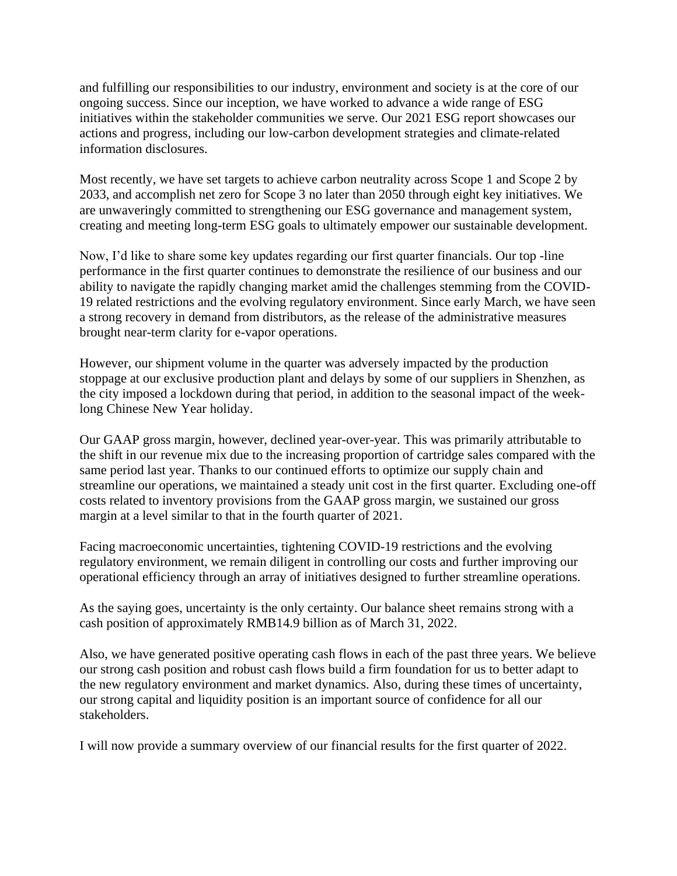and fulfilling our responsibilities to our industry, environment and society is at the core of our ongoing success. Since our inception, we have worked to advance a wide range of ESG initiatives within the stakeholder communities we serve. Our 2021 ESG report showcases our actions and progress, including our low-carbon development strategies and climate-related information disclosures.

Most recently, we have set targets to achieve carbon neutrality across Scope 1 and Scope 2 by 2033, and accomplish net zero for Scope 3 no later than 2050 through eight key initiatives. We are unwaveringly committed to strengthening our ESG governance and management system, creating and meeting long-term ESG goals to ultimately empower our sustainable development.

Now, I'd like to share some key updates regarding our first quarter financials. Our top -line performance in the first quarter continues to demonstrate the resilience of our business and our ability to navigate the rapidly changing market amid the challenges stemming from the COVID-19 related restrictions and the evolving regulatory environment. Since early March, we have seen a strong recovery in demand from distributors, as the release of the administrative measures brought near-term clarity for e-vapor operations.

However, our shipment volume in the quarter was adversely impacted by the production stoppage at our exclusive production plant and delays by some of our suppliers in Shenzhen, as the city imposed a lockdown during that period, in addition to the seasonal impact of the weeklong Chinese New Year holiday.

Our GAAP gross margin, however, declined year-over-year. This was primarily attributable to the shift in our revenue mix due to the increasing proportion of cartridge sales compared with the same period last year. Thanks to our continued efforts to optimize our supply chain and streamline our operations, we maintained a steady unit cost in the first quarter. Excluding one-off costs related to inventory provisions from the GAAP gross margin, we sustained our gross margin at a level similar to that in the fourth quarter of 2021.

Facing macroeconomic uncertainties, tightening COVID-19 restrictions and the evolving regulatory environment, we remain diligent in controlling our costs and further improving our operational efficiency through an array of initiatives designed to further streamline operations.

As the saying goes, uncertainty is the only certainty. Our balance sheet remains strong with a cash position of approximately RMB14.9 billion as of March 31, 2022.

Also, we have generated positive operating cash flows in each of the past three years. We believe our strong cash position and robust cash flows build a firm foundation for us to better adapt to the new regulatory environment and market dynamics. Also, during these times of uncertainty, our strong capital and liquidity position is an important source of confidence for all our stakeholders.

I will now provide a summary overview of our financial results for the first quarter of 2022.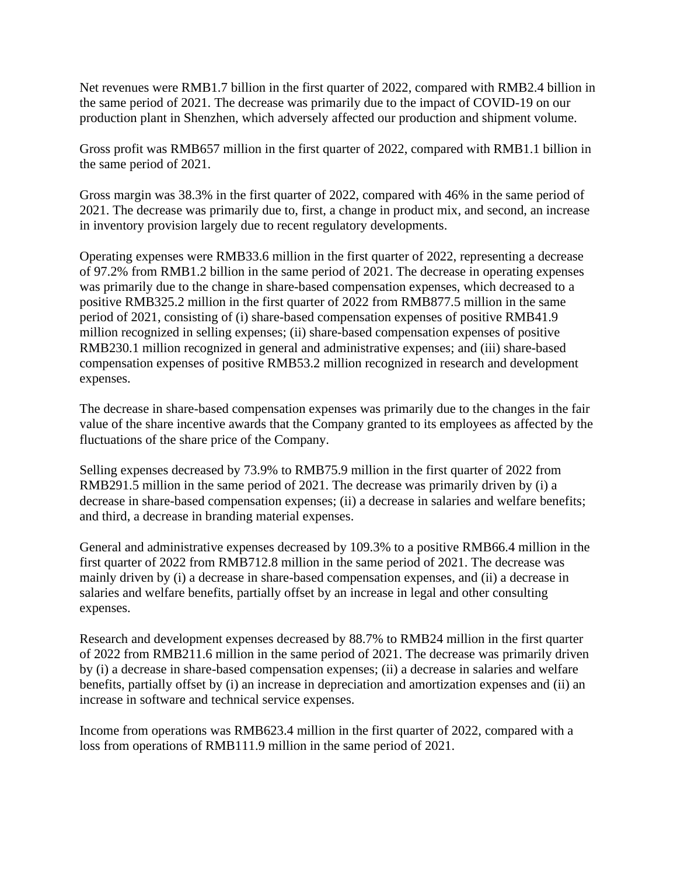Net revenues were RMB1.7 billion in the first quarter of 2022, compared with RMB2.4 billion in the same period of 2021. The decrease was primarily due to the impact of COVID-19 on our production plant in Shenzhen, which adversely affected our production and shipment volume.

Gross profit was RMB657 million in the first quarter of 2022, compared with RMB1.1 billion in the same period of 2021.

Gross margin was 38.3% in the first quarter of 2022, compared with 46% in the same period of 2021. The decrease was primarily due to, first, a change in product mix, and second, an increase in inventory provision largely due to recent regulatory developments.

Operating expenses were RMB33.6 million in the first quarter of 2022, representing a decrease of 97.2% from RMB1.2 billion in the same period of 2021. The decrease in operating expenses was primarily due to the change in share-based compensation expenses, which decreased to a positive RMB325.2 million in the first quarter of 2022 from RMB877.5 million in the same period of 2021, consisting of (i) share-based compensation expenses of positive RMB41.9 million recognized in selling expenses; (ii) share-based compensation expenses of positive RMB230.1 million recognized in general and administrative expenses; and (iii) share-based compensation expenses of positive RMB53.2 million recognized in research and development expenses.

The decrease in share-based compensation expenses was primarily due to the changes in the fair value of the share incentive awards that the Company granted to its employees as affected by the fluctuations of the share price of the Company.

Selling expenses decreased by 73.9% to RMB75.9 million in the first quarter of 2022 from RMB291.5 million in the same period of 2021. The decrease was primarily driven by (i) a decrease in share-based compensation expenses; (ii) a decrease in salaries and welfare benefits; and third, a decrease in branding material expenses.

General and administrative expenses decreased by 109.3% to a positive RMB66.4 million in the first quarter of 2022 from RMB712.8 million in the same period of 2021. The decrease was mainly driven by (i) a decrease in share-based compensation expenses, and (ii) a decrease in salaries and welfare benefits, partially offset by an increase in legal and other consulting expenses.

Research and development expenses decreased by 88.7% to RMB24 million in the first quarter of 2022 from RMB211.6 million in the same period of 2021. The decrease was primarily driven by (i) a decrease in share-based compensation expenses; (ii) a decrease in salaries and welfare benefits, partially offset by (i) an increase in depreciation and amortization expenses and (ii) an increase in software and technical service expenses.

Income from operations was RMB623.4 million in the first quarter of 2022, compared with a loss from operations of RMB111.9 million in the same period of 2021.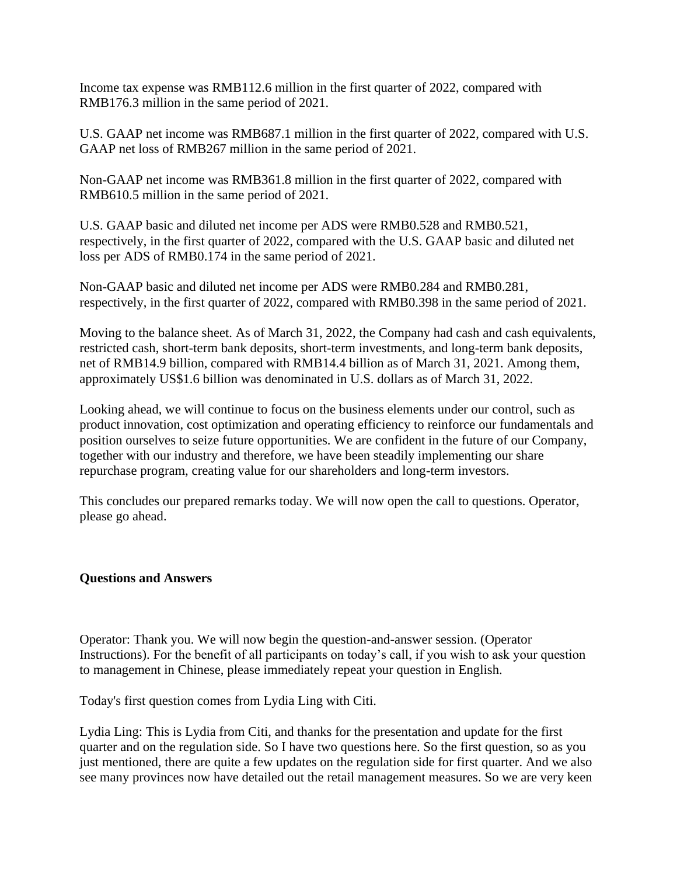Income tax expense was RMB112.6 million in the first quarter of 2022, compared with RMB176.3 million in the same period of 2021.

U.S. GAAP net income was RMB687.1 million in the first quarter of 2022, compared with U.S. GAAP net loss of RMB267 million in the same period of 2021.

Non-GAAP net income was RMB361.8 million in the first quarter of 2022, compared with RMB610.5 million in the same period of 2021.

U.S. GAAP basic and diluted net income per ADS were RMB0.528 and RMB0.521, respectively, in the first quarter of 2022, compared with the U.S. GAAP basic and diluted net loss per ADS of RMB0.174 in the same period of 2021.

Non-GAAP basic and diluted net income per ADS were RMB0.284 and RMB0.281, respectively, in the first quarter of 2022, compared with RMB0.398 in the same period of 2021.

Moving to the balance sheet. As of March 31, 2022, the Company had cash and cash equivalents, restricted cash, short-term bank deposits, short-term investments, and long-term bank deposits, net of RMB14.9 billion, compared with RMB14.4 billion as of March 31, 2021. Among them, approximately US\$1.6 billion was denominated in U.S. dollars as of March 31, 2022.

Looking ahead, we will continue to focus on the business elements under our control, such as product innovation, cost optimization and operating efficiency to reinforce our fundamentals and position ourselves to seize future opportunities. We are confident in the future of our Company, together with our industry and therefore, we have been steadily implementing our share repurchase program, creating value for our shareholders and long-term investors.

This concludes our prepared remarks today. We will now open the call to questions. Operator, please go ahead.

## **Questions and Answers**

Operator: Thank you. We will now begin the question-and-answer session. (Operator Instructions). For the benefit of all participants on today's call, if you wish to ask your question to management in Chinese, please immediately repeat your question in English.

Today's first question comes from Lydia Ling with Citi.

Lydia Ling: This is Lydia from Citi, and thanks for the presentation and update for the first quarter and on the regulation side. So I have two questions here. So the first question, so as you just mentioned, there are quite a few updates on the regulation side for first quarter. And we also see many provinces now have detailed out the retail management measures. So we are very keen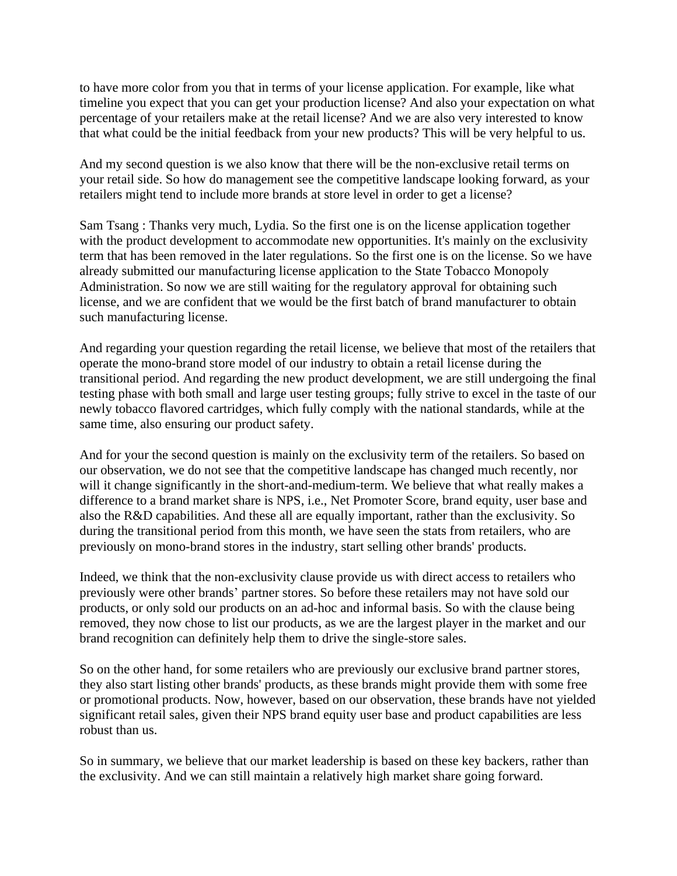to have more color from you that in terms of your license application. For example, like what timeline you expect that you can get your production license? And also your expectation on what percentage of your retailers make at the retail license? And we are also very interested to know that what could be the initial feedback from your new products? This will be very helpful to us.

And my second question is we also know that there will be the non-exclusive retail terms on your retail side. So how do management see the competitive landscape looking forward, as your retailers might tend to include more brands at store level in order to get a license?

Sam Tsang : Thanks very much, Lydia. So the first one is on the license application together with the product development to accommodate new opportunities. It's mainly on the exclusivity term that has been removed in the later regulations. So the first one is on the license. So we have already submitted our manufacturing license application to the State Tobacco Monopoly Administration. So now we are still waiting for the regulatory approval for obtaining such license, and we are confident that we would be the first batch of brand manufacturer to obtain such manufacturing license.

And regarding your question regarding the retail license, we believe that most of the retailers that operate the mono-brand store model of our industry to obtain a retail license during the transitional period. And regarding the new product development, we are still undergoing the final testing phase with both small and large user testing groups; fully strive to excel in the taste of our newly tobacco flavored cartridges, which fully comply with the national standards, while at the same time, also ensuring our product safety.

And for your the second question is mainly on the exclusivity term of the retailers. So based on our observation, we do not see that the competitive landscape has changed much recently, nor will it change significantly in the short-and-medium-term. We believe that what really makes a difference to a brand market share is NPS, i.e., Net Promoter Score, brand equity, user base and also the R&D capabilities. And these all are equally important, rather than the exclusivity. So during the transitional period from this month, we have seen the stats from retailers, who are previously on mono-brand stores in the industry, start selling other brands' products.

Indeed, we think that the non-exclusivity clause provide us with direct access to retailers who previously were other brands' partner stores. So before these retailers may not have sold our products, or only sold our products on an ad-hoc and informal basis. So with the clause being removed, they now chose to list our products, as we are the largest player in the market and our brand recognition can definitely help them to drive the single-store sales.

So on the other hand, for some retailers who are previously our exclusive brand partner stores, they also start listing other brands' products, as these brands might provide them with some free or promotional products. Now, however, based on our observation, these brands have not yielded significant retail sales, given their NPS brand equity user base and product capabilities are less robust than us.

So in summary, we believe that our market leadership is based on these key backers, rather than the exclusivity. And we can still maintain a relatively high market share going forward.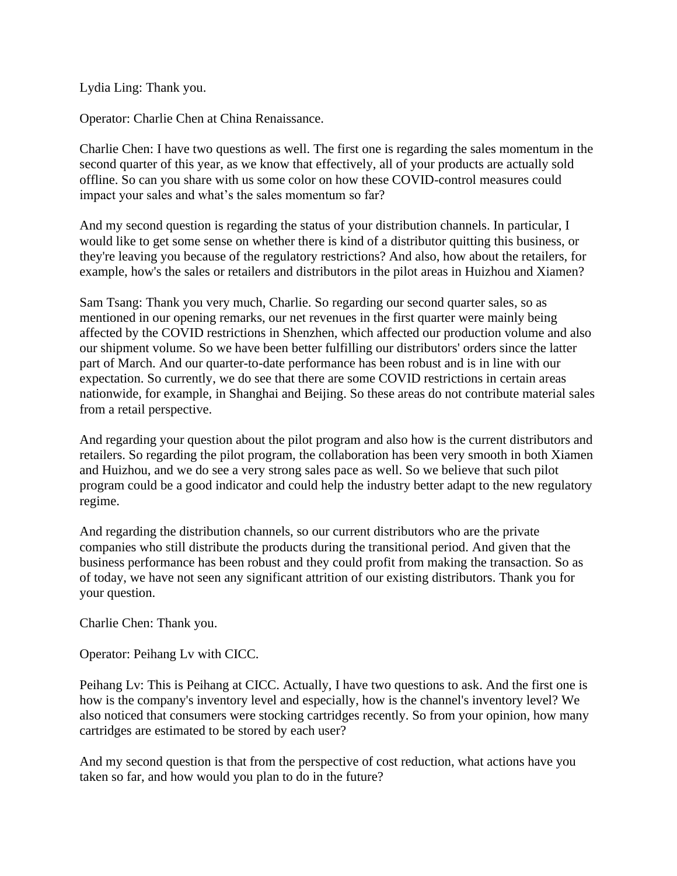Lydia Ling: Thank you.

Operator: Charlie Chen at China Renaissance.

Charlie Chen: I have two questions as well. The first one is regarding the sales momentum in the second quarter of this year, as we know that effectively, all of your products are actually sold offline. So can you share with us some color on how these COVID-control measures could impact your sales and what's the sales momentum so far?

And my second question is regarding the status of your distribution channels. In particular, I would like to get some sense on whether there is kind of a distributor quitting this business, or they're leaving you because of the regulatory restrictions? And also, how about the retailers, for example, how's the sales or retailers and distributors in the pilot areas in Huizhou and Xiamen?

Sam Tsang: Thank you very much, Charlie. So regarding our second quarter sales, so as mentioned in our opening remarks, our net revenues in the first quarter were mainly being affected by the COVID restrictions in Shenzhen, which affected our production volume and also our shipment volume. So we have been better fulfilling our distributors' orders since the latter part of March. And our quarter-to-date performance has been robust and is in line with our expectation. So currently, we do see that there are some COVID restrictions in certain areas nationwide, for example, in Shanghai and Beijing. So these areas do not contribute material sales from a retail perspective.

And regarding your question about the pilot program and also how is the current distributors and retailers. So regarding the pilot program, the collaboration has been very smooth in both Xiamen and Huizhou, and we do see a very strong sales pace as well. So we believe that such pilot program could be a good indicator and could help the industry better adapt to the new regulatory regime.

And regarding the distribution channels, so our current distributors who are the private companies who still distribute the products during the transitional period. And given that the business performance has been robust and they could profit from making the transaction. So as of today, we have not seen any significant attrition of our existing distributors. Thank you for your question.

Charlie Chen: Thank you.

Operator: Peihang Lv with CICC.

Peihang Lv: This is Peihang at CICC. Actually, I have two questions to ask. And the first one is how is the company's inventory level and especially, how is the channel's inventory level? We also noticed that consumers were stocking cartridges recently. So from your opinion, how many cartridges are estimated to be stored by each user?

And my second question is that from the perspective of cost reduction, what actions have you taken so far, and how would you plan to do in the future?